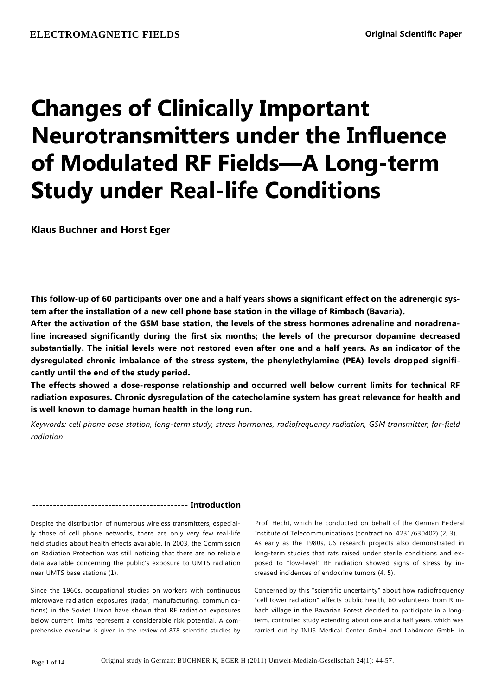# **Changes of Clinically Important Neurotransmitters under the Influence of Modulated RF Fields—A Long-term Study under Real-life Conditions**

**Klaus Buchner and Horst Eger**

**This follow-up of 60 participants over one and a half years shows a significant effect on the adrenergic system after the installation of a new cell phone base station in the village of Rimbach (Bavaria).**

**After the activation of the GSM base station, the levels of the stress hormones adrenaline and noradrenaline increased significantly during the first six months; the levels of the precursor dopamine decreased substantially. The initial levels were not restored even after one and a half years. As an indicator of the dysregulated chronic imbalance of the stress system, the phenylethylamine (PEA) levels dropped significantly until the end of the study period.**

**The effects showed a dose-response relationship and occurred well below current limits for technical RF radiation exposures. Chronic dysregulation of the catecholamine system has great relevance for health and is well known to damage human health in the long run.**

*Keywords: cell phone base station, long-term study, stress hormones, radiofrequency radiation, GSM transmitter, far-field radiation*

# **--------------------------------------------- Introduction**

Despite the distribution of numerous wireless transmitters, especially those of cell phone networks, there are only very few real-life field studies about health effects available. In 2003, the Commission on Radiation Protection was still noticing that there are no reliable data available concerning the public's exposure to UMTS radiation near UMTS base stations (1).

Since the 1960s, occupational studies on workers with continuous microwave radiation exposures (radar, manufacturing, communications) in the Soviet Union have shown that RF radiation exposures below current limits represent a considerable risk potential. A comprehensive overview is given in the review of 878 scientific studies by

Prof. Hecht, which he conducted on behalf of the German Federal Institute of Telecommunications (contract no. 4231/630402) (2, 3). As early as the 1980s, US research projects also demonstrated in long-term studies that rats raised under sterile conditions and exposed to "low-level" RF radiation showed signs of stress by increased incidences of endocrine tumors (4, 5).

Concerned by this "scientific uncertainty" about how radiofrequency "cell tower radiation" affects public health, 60 volunteers from Rimbach village in the Bavarian Forest decided to participate in a longterm, controlled study extending about one and a half years, which was carried out by INUS Medical Center GmbH and Lab4more GmbH in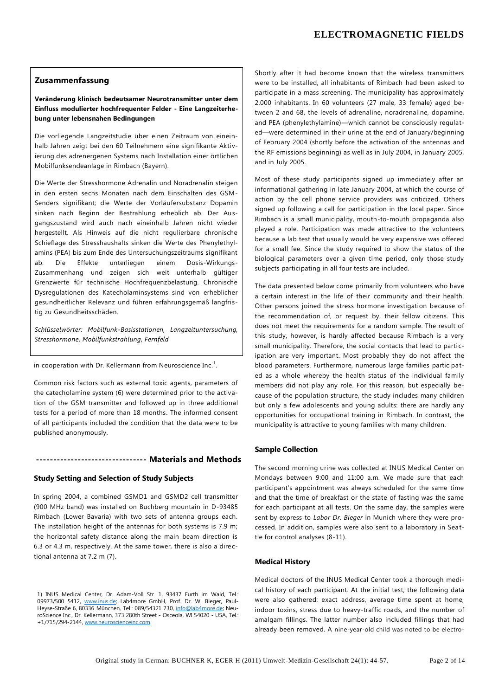## **Zusammenfassung**

**Veränderung klinisch bedeutsamer Neurotransmitter unter dem Einfluss modulierter hochfrequenter Felder - Eine Langzeiterhebung unter lebensnahen Bedingungen**

Die vorliegende Langzeitstudie über einen Zeitraum von eineinhalb Jahren zeigt bei den 60 Teilnehmern eine signifikante Aktivierung des adrenergenen Systems nach Installation einer örtlichen Mobilfunksendeanlage in Rimbach (Bayern).

Die Werte der Stresshormone Adrenalin und Noradrenalin steigen in den ersten sechs Monaten nach dem Einschalten des GSM-Senders signifikant; die Werte der Vorläufersubstanz Dopamin sinken nach Beginn der Bestrahlung erheblich ab. Der Ausgangszustand wird auch nach eineinhalb Jahren nicht wieder hergestellt. Als Hinweis auf die nicht regulierbare chronische Schieflage des Stresshaushalts sinken die Werte des Phenylethylamins (PEA) bis zum Ende des Untersuchungszeitraums signifikant ab. Die Effekte unterliegen einem Dosis-Wirkungs-Zusammenhang und zeigen sich weit unterhalb gültiger Grenzwerte für technische Hochfrequenzbelastung. Chronische Dysregulationen des Katecholaminsystems sind von erheblicher gesundheitlicher Relevanz und führen erfahrungsgemäß langfristig zu Gesundheitsschäden.

*Schlüsselwörter: Mobilfunk-Basisstationen, Langzeituntersuchung, Stresshormone, Mobilfunkstrahlung, Fernfeld*

in cooperation with Dr. Kellermann from Neuroscience Inc.<sup>1</sup>.

Common risk factors such as external toxic agents, parameters of the catecholamine system (6) were determined prior to the activation of the GSM transmitter and followed up in three additional tests for a period of more than 18 months. The informed consent of all participants included the condition that the data were to be published anonymously.

## **-------------------------------- Materials and Methods**

## **Study Setting and Selection of Study Subjects**

In spring 2004, a combined GSMD1 and GSMD2 cell transmitter (900 MHz band) was installed on Buchberg mountain in D-93485 Rimbach (Lower Bavaria) with two sets of antenna groups each. The installation height of the antennas for both systems is 7.9 m; the horizontal safety distance along the main beam direction is 6.3 or 4.3 m, respectively. At the same tower, there is also a directional antenna at 7.2 m (7).

1) INUS Medical Center, Dr. Adam-Voll Str. 1, 93437 Furth im Wald, Tel.: 09973/500 5412, [www.inus.de;](http://www.inus.de/) Lab4more GmbH, Prof. Dr. W. Bieger, Paul-Heyse-Straße 6, 80336 München, Tel.: 089/54321 730[, info@lab4more.de;](mailto:info@lab4more.de) NeuroScience Inc., Dr. Kellermann, 373 280th Street - Osceola, WI 54020 - USA, Tel.: +1/715/294-2144[, www.neuroscienceinc.com.](http://www.neuroscienceinc.com/)

Shortly after it had become known that the wireless transmitters were to be installed, all inhabitants of Rimbach had been asked to participate in a mass screening. The municipality has approximately 2,000 inhabitants. In 60 volunteers (27 male, 33 female) aged between 2 and 68, the levels of adrenaline, noradrenaline, dopamine, and PEA (phenylethylamine)—which cannot be consciously regulated—were determined in their urine at the end of January/beginning of February 2004 (shortly before the activation of the antennas and the RF emissions beginning) as well as in July 2004, in January 2005, and in July 2005.

Most of these study participants signed up immediately after an informational gathering in late January 2004, at which the course of action by the cell phone service providers was criticized. Others signed up following a call for participation in the local paper. Since Rimbach is a small municipality, mouth-to-mouth propaganda also played a role. Participation was made attractive to the volunteers because a lab test that usually would be very expensive was offered for a small fee. Since the study required to show the status of the biological parameters over a given time period, only those study subjects participating in all four tests are included.

The data presented below come primarily from volunteers who have a certain interest in the life of their community and their health. Other persons joined the stress hormone investigation because of the recommendation of, or request by, their fellow citizens. This does not meet the requirements for a random sample. The result of this study, however, is hardly affected because Rimbach is a very small municipality. Therefore, the social contacts that lead to participation are very important. Most probably they do not affect the blood parameters. Furthermore, numerous large families participated as a whole whereby the health status of the individual family members did not play any role. For this reason, but especially because of the population structure, the study includes many children but only a few adolescents and young adults: there are hardly any opportunities for occupational training in Rimbach. In contrast, the municipality is attractive to young families with many children.

#### **Sample Collection**

The second morning urine was collected at INUS Medical Center on Mondays between 9:00 and 11:00 a.m. We made sure that each participant's appointment was always scheduled for the same time and that the time of breakfast or the state of fasting was the same for each participant at all tests. On the same day, the samples were sent by express to *Labor Dr. Bieger* in Munich where they were processed. In addition, samples were also sent to a laboratory in Seattle for control analyses (8-11).

## **Medical History**

Medical doctors of the INUS Medical Center took a thorough medical history of each participant. At the initial test, the following data were also gathered: exact address, average time spent at home, indoor toxins, stress due to heavy-traffic roads, and the number of amalgam fillings. The latter number also included fillings that had already been removed. A nine-year-old child was noted to be electro-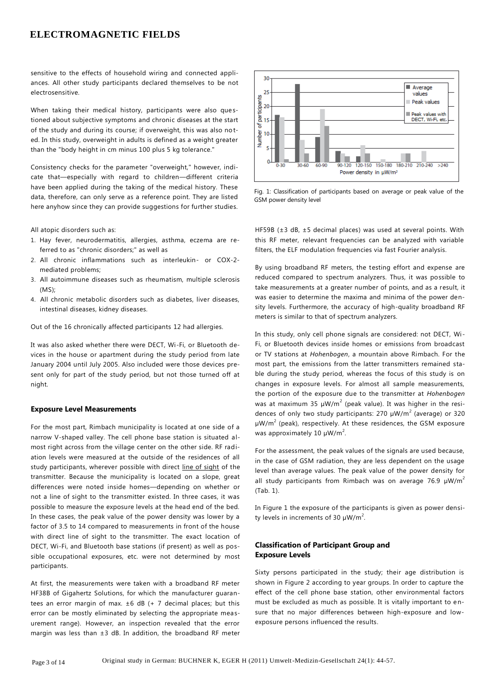sensitive to the effects of household wiring and connected appliances. All other study participants declared themselves to be not electrosensitive.

When taking their medical history, participants were also questioned about subjective symptoms and chronic diseases at the start of the study and during its course; if overweight, this was also noted. In this study, overweight in adults is defined as a weight greater than the "body height in cm minus 100 plus 5 kg tolerance."

Consistency checks for the parameter "overweight," however, indicate that—especially with regard to children—different criteria have been applied during the taking of the medical history. These data, therefore, can only serve as a reference point. They are listed here anyhow since they can provide suggestions for further studies.

All atopic disorders such as:

- 1. Hay fever, neurodermatitis, allergies, asthma, eczema are referred to as "chronic disorders;" as well as
- 2. All chronic inflammations such as interleukin- or COX-2 mediated problems;
- 3. All autoimmune diseases such as rheumatism, multiple sclerosis  $(MS)$
- 4. All chronic metabolic disorders such as diabetes, liver diseases, intestinal diseases, kidney diseases.

Out of the 16 chronically affected participants 12 had allergies.

It was also asked whether there were DECT, Wi-Fi, or Bluetooth devices in the house or apartment during the study period from late January 2004 until July 2005. Also included were those devices present only for part of the study period, but not those turned off at night.

#### **Exposure Level Measurements**

For the most part, Rimbach municipality is located at one side of a narrow V-shaped valley. The cell phone base station is situated almost right across from the village center on the other side. RF radiation levels were measured at the outside of the residences of all study participants, wherever possible with direct line of sight of the transmitter. Because the municipality is located on a slope, great differences were noted inside homes—depending on whether or not a line of sight to the transmitter existed. In three cases, it was possible to measure the exposure levels at the head end of the bed. In these cases, the peak value of the power density was lower by a factor of 3.5 to 14 compared to measurements in front of the house with direct line of sight to the transmitter. The exact location of DECT, Wi-Fi, and Bluetooth base stations (if present) as well as possible occupational exposures, etc. were not determined by most participants.

At first, the measurements were taken with a broadband RF meter HF38B of Gigahertz Solutions, for which the manufacturer guarantees an error margin of max.  $\pm 6$  dB (+ 7 decimal places; but this error can be mostly eliminated by selecting the appropriate measurement range). However, an inspection revealed that the error margin was less than  $\pm 3$  dB. In addition, the broadband RF meter



Fig. 1: Classification of participants based on average or peak value of the GSM power density level

HF59B (±3 dB, ±5 decimal places) was used at several points. With this RF meter, relevant frequencies can be analyzed with variable filters, the ELF modulation frequencies via fast Fourier analysis.

By using broadband RF meters, the testing effort and expense are reduced compared to spectrum analyzers. Thus, it was possible to take measurements at a greater number of points, and as a result, it was easier to determine the maxima and minima of the power density levels. Furthermore, the accuracy of high-quality broadband RF meters is similar to that of spectrum analyzers.

In this study, only cell phone signals are considered: not DECT, Wi - Fi, or Bluetooth devices inside homes or emissions from broadcast or TV stations at *Hohenbogen*, a mountain above Rimbach. For the most part, the emissions from the latter transmitters remained stable during the study period, whereas the focus of this study is on changes in exposure levels. For almost all sample measurements, the portion of the exposure due to the transmitter at *Hohenbogen* was at maximum 35  $\mu$ W/m<sup>2</sup> (peak value). It was higher in the residences of only two study participants: 270  $\mu$ W/m<sup>2</sup> (average) or 320  $\mu$ W/m<sup>2</sup> (peak), respectively. At these residences, the GSM exposure was approximately 10  $\mu$ W/m<sup>2</sup>.

For the assessment, the peak values of the signals are used because, in the case of GSM radiation, they are less dependent on the usage level than average values. The peak value of the power density for all study participants from Rimbach was on average 76.9  $\mu$ W/m<sup>2</sup> (Tab. 1).

In Figure 1 the exposure of the participants is given as power density levels in increments of 30  $\mu$ W/m<sup>2</sup>.

## **Classification of Participant Group and Exposure Levels**

Sixty persons participated in the study; their age distribution is shown in Figure 2 according to year groups. In order to capture the effect of the cell phone base station, other environmental factors must be excluded as much as possible. It is vitally important to ensure that no major differences between high-exposure and lowexposure persons influenced the results.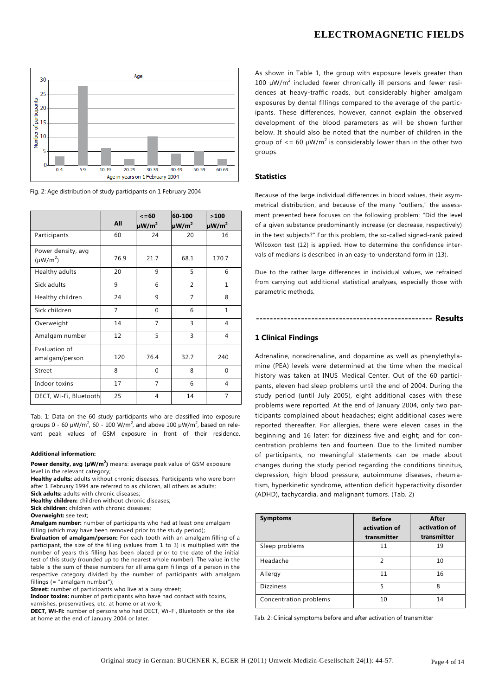

Fig. 2: Age distribution of study participants on 1 February 2004

|                                     | All  | $\leq 60$<br>$\mu$ W/m <sup>2</sup> | 60-100<br>$\mu$ W/m <sup>2</sup> | >100<br>$\mu$ W/m <sup>2</sup> |
|-------------------------------------|------|-------------------------------------|----------------------------------|--------------------------------|
| Participants                        | 60   | 24                                  | 20                               | 16                             |
| Power density, avg<br>$(\mu W/m^2)$ | 76.9 | 21.7                                | 68.1                             | 170.7                          |
| Healthy adults                      | 20   | 9                                   | 5                                | 6                              |
| Sick adults                         | 9    | 6                                   | $\overline{2}$                   | $\mathbf{1}$                   |
| Healthy children                    | 24   | 9                                   | $\overline{7}$                   | 8                              |
| Sick children                       | 7    | $\Omega$                            | 6                                | $\mathbf{1}$                   |
| Overweight                          | 14   | 7                                   | 3                                | $\overline{4}$                 |
| Amalgam number                      | 12   | 5                                   | $\overline{3}$                   | 4                              |
| Evaluation of<br>amalgam/person     | 120  | 76.4                                | 32.7                             | 240                            |
| Street                              | 8    | $\Omega$                            | 8                                | $\Omega$                       |
| Indoor toxins                       | 17   | 7                                   | 6                                | 4                              |
| DECT, Wi-Fi, Bluetooth              | 25   | 4                                   | 14                               | 7                              |

Tab. 1: Data on the 60 study participants who are classified into exposure groups 0 - 60  $\mu$ W/m<sup>2</sup>, 60 - 100 W/m<sup>2</sup>, and above 100  $\mu$ W/m<sup>2</sup>, based on relevant peak values of GSM exposure in front of their residence.

#### **Additional information:**

**Power density, avg (µW/m<sup>2</sup> )** means: average peak value of GSM exposure level in the relevant category;

**Healthy adults:** adults without chronic diseases. Participants who were born after 1 February 1994 are referred to as children, all others as adults;

**Sick adults:** adults with chronic diseases;

**Healthy children:** children without chronic diseases;

**Sick children:** children with chronic diseases;

**Overweight:** see text;

**Amalgam number:** number of participants who had at least one amalgam filling (which may have been removed prior to the study period);

**Evaluation of amalgam/person:** For each tooth with an amalgam filling of a participant, the size of the filling (values from 1 to 3) is multiplied with the number of years this filling has been placed prior to the date of the initial test of this study (rounded up to the nearest whole number). The value in the table is the sum of these numbers for all amalgam fillings of a person in the respective category divided by the number of participants with amalgam fillings (= "amalgam number");

**Street:** number of participants who live at a busy street;

**Indoor toxins:** number of participants who have had contact with toxins, varnishes, preservatives, etc. at home or at work;

**DECT, Wi-Fi:** number of persons who had DECT, Wi-Fi, Bluetooth or the like at home at the end of January 2004 or later.

As shown in Table 1, the group with exposure levels greater than 100  $\mu$ W/m<sup>2</sup> included fewer chronically ill persons and fewer residences at heavy-traffic roads, but considerably higher amalgam exposures by dental fillings compared to the average of the participants. These differences, however, cannot explain the observed development of the blood parameters as will be shown further below. It should also be noted that the number of children in the group of  $\leq$  = 60 µW/m<sup>2</sup> is considerably lower than in the other two groups.

## **Statistics**

Because of the large individual differences in blood values, their asymmetrical distribution, and because of the many "outliers," the assessment presented here focuses on the following problem: "Did the level of a given substance predominantly increase (or decrease, respectively) in the test subjects?" For this problem, the so-called signed-rank paired Wilcoxon test (12) is applied. How to determine the confidence intervals of medians is described in an easy-to-understand form in (13).

Due to the rather large differences in individual values, we refrained from carrying out additional statistical analyses, especially those with parametric methods.

**--------------------------------------------------- Results**

## **1 Clinical Findings**

Adrenaline, noradrenaline, and dopamine as well as phenylethylamine (PEA) levels were determined at the time when the medical history was taken at INUS Medical Center. Out of the 60 participants, eleven had sleep problems until the end of 2004. During the study period (until July 2005), eight additional cases with these problems were reported. At the end of January 2004, only two participants complained about headaches; eight additional cases were reported thereafter. For allergies, there were eleven cases in the beginning and 16 later; for dizziness five and eight; and for concentration problems ten and fourteen. Due to the limited number of participants, no meaningful statements can be made about changes during the study period regarding the conditions tinnitus, depression, high blood pressure, autoimmune diseases, rheumatism, hyperkinetic syndrome, attention deficit hyperactivity disorder (ADHD), tachycardia, and malignant tumors. (Tab. 2)

| <b>Symptoms</b>        | <b>Before</b><br>activation of<br>transmitter | After<br>activation of<br>transmitter |
|------------------------|-----------------------------------------------|---------------------------------------|
| Sleep problems         | 11                                            | 19                                    |
| Headache               | $\mathfrak{D}$                                | 10                                    |
| Allergy                | 11                                            | 16                                    |
| <b>Dizziness</b>       | 5                                             | 8                                     |
| Concentration problems | 10                                            | 14                                    |

Tab. 2: Clinical symptoms before and after activation of transmitter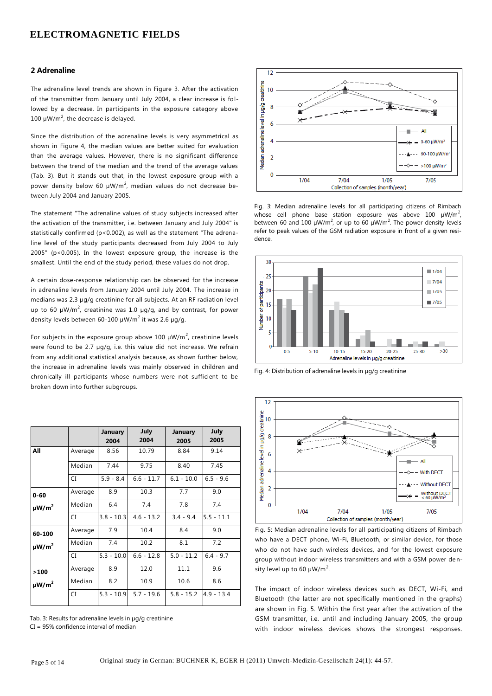## **2 Adrenaline**

The adrenaline level trends are shown in Figure 3. After the activation of the transmitter from January until July 2004, a clear increase is followed by a decrease. In participants in the exposure category above 100  $\mu$ W/m<sup>2</sup>, the decrease is delayed.

Since the distribution of the adrenaline levels is very asymmetrical as shown in Figure 4, the median values are better suited for evaluation than the average values. However, there is no significant difference between the trend of the median and the trend of the average values (Tab. 3). But it stands out that, in the lowest exposure group with a power density below 60  $\mu$ W/m<sup>2</sup>, median values do not decrease between July 2004 and January 2005.

The statement "The adrenaline values of study subjects increased after the activation of the transmitter, i.e. between January and July 2004" is statistically confirmed (p<0.002), as well as the statement "The adrenaline level of the study participants decreased from July 2004 to July 2005" (p<0.005). In the lowest exposure group, the increase is the smallest. Until the end of the study period, these values do not drop.

A certain dose-response relationship can be observed for the increase in adrenaline levels from January 2004 until July 2004. The increase in medians was 2.3 µg/g creatinine for all subjects. At an RF radiation level up to 60  $\mu$ W/m<sup>2</sup>, creatinine was 1.0  $\mu$ g/g, and by contrast, for power density levels between 60-100  $\mu$ W/m<sup>2</sup> it was 2.6  $\mu$ g/g.

For subjects in the exposure group above 100  $\mu$ W/m<sup>2</sup>, creatinine levels were found to be 2.7 µg/g, i.e. this value did not increase. We refrain from any additional statistical analysis because, as shown further below, the increase in adrenaline levels was mainly observed in children and chronically ill participants whose numbers were not sufficient to be broken down into further subgroups.

|                        |         | January<br>2004 | July<br>2004 | January<br>2005 | July<br>2005 |
|------------------------|---------|-----------------|--------------|-----------------|--------------|
| All                    | Average | 8.56            | 10.79        | 8.84            | 9.14         |
|                        | Median  | 7.44            | 9.75         | 8.40            | 7.45         |
|                        | CI      | $5.9 - 8.4$     | $6.6 - 11.7$ | $6.1 - 10.0$    | $6.5 - 9.6$  |
| $0 - 60$               | Average | 8.9             | 10.3         | 7.7             | 9.0          |
| $\mu$ W/m <sup>2</sup> | Median  | 6.4             | 7.4          | 7.8             | 7.4          |
|                        | CI      | $3.8 - 10.3$    | $4.6 - 13.2$ | $3.4 - 9.4$     | $5.5 - 11.1$ |
| 60-100                 | Average | 7.9             | 10.4         | 8.4             | 9.0          |
| $\mu$ W/m <sup>2</sup> | Median  | 7.4             | 10.2         | 8.1             | 7.2          |
|                        | CI      | $5.3 - 10.0$    | $6.6 - 12.8$ | $5.0 - 11.2$    | $6.4 - 9.7$  |
| >100                   | Average | 8.9             | 12.0         | 11.1            | 9.6          |
| $\mu$ W/m <sup>2</sup> | Median  | 8.2             | 10.9         | 10.6            | 8.6          |
|                        | CI.     | $5.3 - 10.9$    | $5.7 - 19.6$ | $5.8 - 15.2$    | $4.9 - 13.4$ |

Tab. 3: Results for adrenaline levels in µg/g creatinine CI = 95% confidence interval of median



Fig. 3: Median adrenaline levels for all participating citizens of Rimbach whose cell phone base station exposure was above 100  $\mu$ W/m<sup>2</sup>, between 60 and 100  $\mu$ W/m<sup>2</sup>, or up to 60  $\mu$ W/m<sup>2</sup>. The power density levels refer to peak values of the GSM radiation exposure in front of a given residence.



Fig. 4: Distribution of adrenaline levels in µg/g creatinine



Fig. 5: Median adrenaline levels for all participating citizens of Rimbach who have a DECT phone, Wi-Fi, Bluetooth, or similar device, for those who do not have such wireless devices, and for the lowest exposure group without indoor wireless transmitters and with a GSM power density level up to 60  $\mu$ W/m<sup>2</sup>.

The impact of indoor wireless devices such as DECT, Wi-Fi, and Bluetooth (the latter are not specifically mentioned in the graphs) are shown in Fig. 5. Within the first year after the activation of the GSM transmitter, i.e. until and including January 2005, the group with indoor wireless devices shows the strongest responses.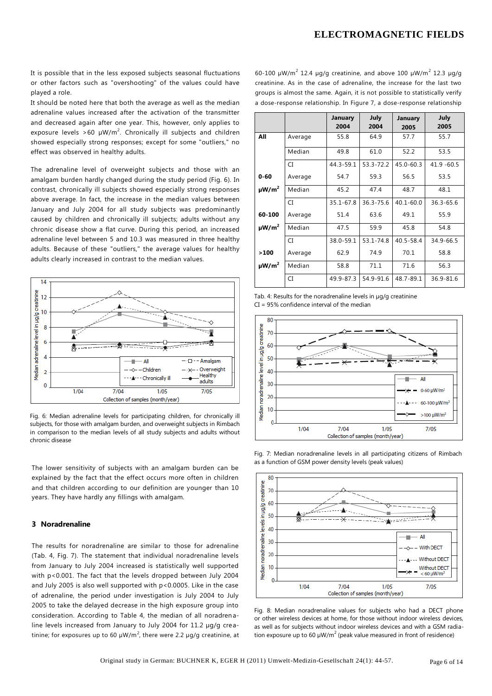It is possible that in the less exposed subjects seasonal fluctuations or other factors such as "overshooting" of the values could have played a role.

It should be noted here that both the average as well as the median adrenaline values increased after the activation of the transmitter and decreased again after one year. This, however, only applies to exposure levels >60  $\mu$ W/m<sup>2</sup>. Chronically ill subjects and children showed especially strong responses; except for some "outliers," no effect was observed in healthy adults.

The adrenaline level of overweight subjects and those with an amalgam burden hardly changed during the study period (Fig. 6). In contrast, chronically ill subjects showed especially strong responses above average. In fact, the increase in the median values between January and July 2004 for all study subjects was predominantly caused by children and chronically ill subjects; adults without any chronic disease show a flat curve. During this period, an increased adrenaline level between 5 and 10.3 was measured in three healthy adults. Because of these "outliers," the average values for healthy adults clearly increased in contrast to the median values.



Fig. 6: Median adrenaline levels for participating children, for chronically ill subjects, for those with amalgam burden, and overweight subjects in Rimbach in comparison to the median levels of all study subjects and adults without chronic disease

The lower sensitivity of subjects with an amalgam burden can be explained by the fact that the effect occurs more often in children and that children according to our definition are younger than 10 years. They have hardly any fillings with amalgam.

#### **3 Noradrenaline**

The results for noradrenaline are similar to those for adrenaline (Tab. 4, Fig. 7). The statement that individual noradrenaline levels from January to July 2004 increased is statistically well supported with p<0.001. The fact that the levels dropped between July 2004 and July 2005 is also well supported with p<0.0005. Like in the case of adrenaline, the period under investigation is July 2004 to July 2005 to take the delayed decrease in the high exposure group into consideration. According to Table 4, the median of all noradren aline levels increased from January to July 2004 for 11.2 µg/g creatinine; for exposures up to 60  $\mu$ W/m $^2$ , there were 2.2  $\mu$ g/g creatinine, at

60-100  $\mu$ W/m<sup>2</sup> 12.4  $\mu$ g/g creatinine, and above 100  $\mu$ W/m<sup>2</sup> 12.3  $\mu$ g/g creatinine. As in the case of adrenaline, the increase for the last two groups is almost the same. Again, it is not possible to statistically verify a dose-response relationship. In Figure 7, a dose-response relationship

|                        |         | January<br>2004 | July<br>2004 | January<br>2005 | July<br>2005  |
|------------------------|---------|-----------------|--------------|-----------------|---------------|
| All                    | Average | 55.8            | 64.9         | 57.7            | 55.7          |
|                        | Median  | 49.8            | 61.0         | 52.2            | 53.5          |
|                        | CI      | 44.3-59.1       | 53.3-72.2    | $45.0 - 60.3$   | $41.9 - 60.5$ |
| $0 - 60$               | Average | 54.7            | 59.3         | 56.5            | 53.5          |
| $\mu$ W/m <sup>2</sup> | Median  | 45.2            | 47.4         | 48.7            | 48.1          |
|                        | CI      | 35.1-67.8       | 36.3-75.6    | $40.1 - 60.0$   | $36.3 - 65.6$ |
| 60-100                 | Average | 51.4            | 63.6         | 49.1            | 55.9          |
| $\mu$ W/m <sup>2</sup> | Median  | 47.5            | 59.9         | 45.8            | 54.8          |
|                        | CI.     | 38.0-59.1       | 53.1-74.8    | 40.5-58.4       | 34.9-66.5     |
| >100                   | Average | 62.9            | 74.9         | 70.1            | 58.8          |
| $\mu$ W/m <sup>2</sup> | Median  | 58.8            | 71.1         | 71.6            | 56.3          |
|                        | CI      | 49.9-87.3       | 54.9-91.6    | 48.7-89.1       | 36.9-81.6     |

Tab. 4: Results for the noradrenaline levels in µg/g creatinine CI = 95% confidence interval of the median



Fig. 7: Median noradrenaline levels in all participating citizens of Rimbach as a function of GSM power density levels (peak values)



Fig. 8: Median noradrenaline values for subjects who had a DECT phone or other wireless devices at home, for those without indoor wireless devices, as well as for subjects without indoor wireless devices and with a GSM radiation exposure up to 60  $\mu$ W/m<sup>2</sup> (peak value measured in front of residence)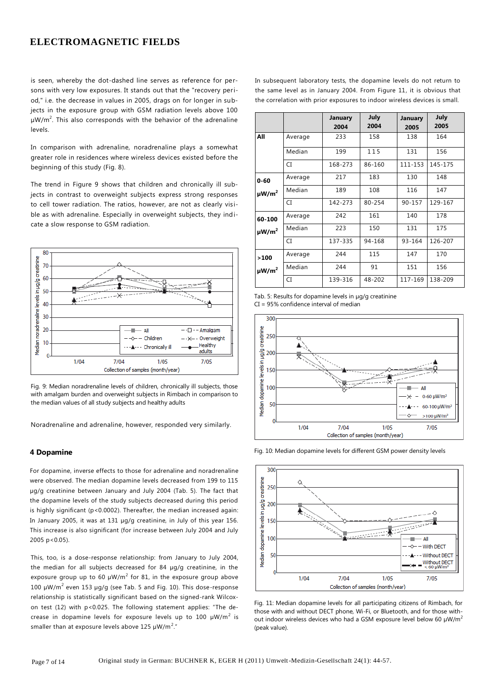is seen, whereby the dot-dashed line serves as reference for persons with very low exposures. It stands out that the "recovery period," i.e. the decrease in values in 2005, drags on for longer in subjects in the exposure group with GSM radiation levels above 100  $\mu$ W/m<sup>2</sup>. This also corresponds with the behavior of the adrenaline levels.

In comparison with adrenaline, noradrenaline plays a somewhat greater role in residences where wireless devices existed before the beginning of this study (Fig. 8).

The trend in Figure 9 shows that children and chronically ill subjects in contrast to overweight subjects express strong responses to cell tower radiation. The ratios, however, are not as clearly visible as with adrenaline. Especially in overweight subjects, they indicate a slow response to GSM radiation.



Fig. 9: Median noradrenaline levels of children, chronically ill subjects, those with amalgam burden and overweight subjects in Rimbach in comparison to the median values of all study subjects and healthy adults

Noradrenaline and adrenaline, however, responded very similarly.

#### **4 Dopamine**

For dopamine, inverse effects to those for adrenaline and noradrenaline were observed. The median dopamine levels decreased from 199 to 115 µg/g creatinine between January and July 2004 (Tab. 5). The fact that the dopamine levels of the study subjects decreased during this period is highly significant (p<0.0002). Thereafter, the median increased again: In January 2005, it was at 131 µg/g creatinine, in July of this year 156. This increase is also significant (for increase between July 2004 and July 2005 p<0.05).

This, too, is a dose-response relationship: from January to July 2004, the median for all subjects decreased for 84 µg/g creatinine, in the exposure group up to 60  $\mu$ W/m<sup>2</sup> for 81, in the exposure group above 100  $\mu$ W/m<sup>2</sup> even 153  $\mu$ g/g (see Tab. 5 and Fig. 10). This dose-response relationship is statistically significant based on the signed-rank Wilcoxon test (12) with p<0.025. The following statement applies: "The decrease in dopamine levels for exposure levels up to 100  $\mu$ W/m<sup>2</sup> is smaller than at exposure levels above 125  $\mu$ W/m<sup>2</sup>."

In subsequent laboratory tests, the dopamine levels do not return to the same level as in January 2004. From Figure 11, it is obvious that the correlation with prior exposures to indoor wireless devices is small.

|                        |         | January<br>2004 | July<br>2004 | January<br>2005 | July<br>2005 |
|------------------------|---------|-----------------|--------------|-----------------|--------------|
| All                    | Average | 233             | 158          | 138             | 164          |
|                        | Median  | 199             | 115          | 131             | 156          |
|                        | CI      | 168-273         | 86-160       | 111-153         | 145-175      |
| $0 - 60$               | Average | 217             | 183          | 130             | 148          |
| $\mu W/m^2$            | Median  | 189             | 108          | 116             | 147          |
|                        | CI      | 142-273         | 80-254       | 90-157          | 129-167      |
| 60-100                 | Average | 242             | 161          | 140             | 178          |
| $\mu$ W/m <sup>2</sup> | Median  | 223             | 150          | 131             | 175          |
|                        | CI      | 137-335         | 94-168       | 93-164          | 126-207      |
| >100                   | Average | 244             | 115          | 147             | 170          |
| $\mu$ W/m <sup>2</sup> | Median  | 244             | 91           | 151             | 156          |
|                        | CI      | 139-316         | 48-202       | 117-169         | 138-209      |

Tab. 5: Results for dopamine levels in  $\mu q/q$  creatinine CI = 95% confidence interval of median







Fig. 11: Median dopamine levels for all participating citizens of Rimbach, for those with and without DECT phone, Wi-Fi, or Bluetooth, and for those without indoor wireless devices who had a GSM exposure level below 60  $\mu$ W/m<sup>2</sup> (peak value).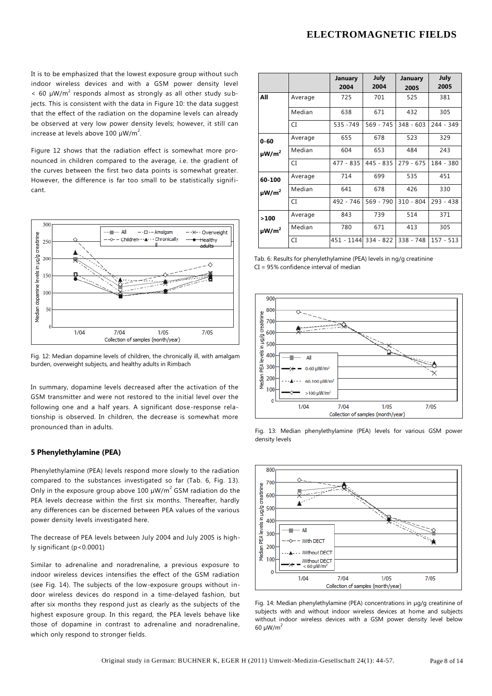It is to be emphasized that the lowest exposure group without such indoor wireless devices and with a GSM power density level  $<$  60  $\mu$ W/m<sup>2</sup> responds almost as strongly as all other study subjects. This is consistent with the data in Figure 10: the data suggest that the effect of the radiation on the dopamine levels can already be observed at very low power density levels; however, it still can increase at levels above 100  $\mu$ W/m<sup>2</sup>.

Figure 12 shows that the radiation effect is somewhat more pronounced in children compared to the average, i.e. the gradient of the curves between the first two data points is somewhat greater. However, the difference is far too small to be statistically significant.



Fig. 12: Median dopamine levels of children, the chronically ill, with amalgam burden, overweight subjects, and healthy adults in Rimbach

In summary, dopamine levels decreased after the activation of the GSM transmitter and were not restored to the initial level over the following one and a half years. A significant dose-response relationship is observed. In children, the decrease is somewhat more pronounced than in adults.

#### **5 Phenylethylamine (PEA)**

Phenylethylamine (PEA) levels respond more slowly to the radiation compared to the substances investigated so far (Tab. 6, Fig. 13). Only in the exposure group above 100  $\mu$ W/m<sup>2</sup> GSM radiation do the PEA levels decrease within the first six months. Thereafter, hardly any differences can be discerned between PEA values of the various power density levels investigated here.

The decrease of PEA levels between July 2004 and July 2005 is highly significant (p<0.0001)

Similar to adrenaline and noradrenaline, a previous exposure to indoor wireless devices intensifies the effect of the GSM radiation (see Fig. 14). The subjects of the low-exposure groups without indoor wireless devices do respond in a time-delayed fashion, but after six months they respond just as clearly as the subjects of the highest exposure group. In this regard, the PEA levels behave like those of dopamine in contrast to adrenaline and noradrenaline, which only respond to stronger fields.

|                        |         | January<br>2004      | July<br>2004 | January<br>2005 | July<br>2005 |
|------------------------|---------|----------------------|--------------|-----------------|--------------|
| All                    | Average | 725                  | 701          | 525             | 381          |
|                        | Median  | 638                  | 671          | 432             | 305          |
|                        | CI      | 535 - 749            | 569 - 745    | 348 - 603       | 244 - 349    |
| $0 - 60$               | Average | 655                  | 678          | 523             | 329          |
| $\mu$ W/m <sup>2</sup> | Median  | 604                  | 653          | 484             | 243          |
|                        | CI      | 477 - 835            | 445 - 835    | $279 - 675$     | 184 - 380    |
| 60-100                 | Average | 714                  | 699          | 535             | 451          |
| $\mu$ W/m <sup>2</sup> | Median  | 641                  | 678          | 426             | 330          |
|                        | CI      | 492 - 746            | $569 - 790$  | $310 - 804$     | $293 - 438$  |
| >100                   | Average | 843                  | 739          | 514             | 371          |
| $\mu$ W/m <sup>2</sup> | Median  | 780                  | 671          | 413             | 305          |
|                        | CI      | 451 - 1144 334 - 822 |              | 338 - 748       | $157 - 513$  |

Tab. 6: Results for phenylethylamine (PEA) levels in ng/g creatinine CI = 95% confidence interval of median



Fig. 13: Median phenylethylamine (PEA) levels for various GSM power density levels



Fig. 14: Median phenylethylamine (PEA) concentrations in µg/g creatinine of subjects with and without indoor wireless devices at home and subjects without indoor wireless devices with a GSM power density level below  $60 \mu W/m^2$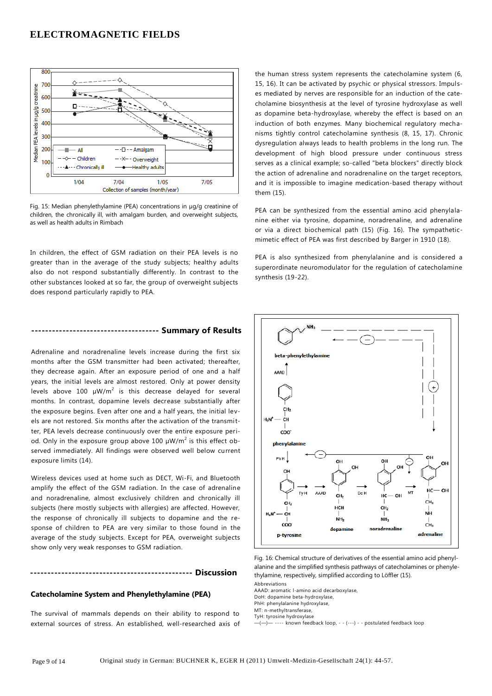

Fig. 15: Median phenylethylamine (PEA) concentrations in µg/g creatinine of children, the chronically ill, with amalgam burden, and overweight subjects, as well as health adults in Rimbach

In children, the effect of GSM radiation on their PEA levels is no greater than in the average of the study subjects; healthy adults also do not respond substantially differently. In contrast to the other substances looked at so far, the group of overweight subjects does respond particularly rapidly to PEA.

## **------------------------------------- Summary of Results**

Adrenaline and noradrenaline levels increase during the first six months after the GSM transmitter had been activated; thereafter, they decrease again. After an exposure period of one and a half years, the initial levels are almost restored. Only at power density levels above 100  $\mu$ W/m<sup>2</sup> is this decrease delayed for several months. In contrast, dopamine levels decrease substantially after the exposure begins. Even after one and a half years, the initial levels are not restored. Six months after the activation of the transmitter, PEA levels decrease continuously over the entire exposure period. Only in the exposure group above 100  $\mu$ W/m<sup>2</sup> is this effect observed immediately. All findings were observed well below current exposure limits (14).

Wireless devices used at home such as DECT, Wi-Fi, and Bluetooth amplify the effect of the GSM radiation. In the case of adrenaline and noradrenaline, almost exclusively children and chronically ill subjects (here mostly subjects with allergies) are affected. However, the response of chronically ill subjects to dopamine and the response of children to PEA are very similar to those found in the average of the study subjects. Except for PEA, overweight subjects show only very weak responses to GSM radiation.

#### **----------------------------------------------- Discussion**

## **Catecholamine System and Phenylethylamine (PEA)**

The survival of mammals depends on their ability to respond to external sources of stress. An established, well-researched axis of the human stress system represents the catecholamine system (6, 15, 16). It can be activated by psychic or physical stressors. Impulses mediated by nerves are responsible for an induction of the catecholamine biosynthesis at the level of tyrosine hydroxylase as well as dopamine beta-hydroxylase, whereby the effect is based on an induction of both enzymes. Many biochemical regulatory mechanisms tightly control catecholamine synthesis (8, 15, 17). Chronic dysregulation always leads to health problems in the long run. The development of high blood pressure under continuous stress serves as a clinical example; so-called "beta blockers" directly block the action of adrenaline and noradrenaline on the target receptors, and it is impossible to imagine medication-based therapy without them (15).

PEA can be synthesized from the essential amino acid phenylalanine either via tyrosine, dopamine, noradrenaline, and adrenaline or via a direct biochemical path (15) (Fig. 16). The sympatheticmimetic effect of PEA was first described by Barger in 1910 (18).

PEA is also synthesized from phenylalanine and is considered a superordinate neuromodulator for the regulation of catecholamine synthesis (19-22).



Fig. 16: Chemical structure of derivatives of the essential amino acid phenylalanine and the simplified synthesis pathways of catecholamines or phenylethylamine, respectively, simplified according to Löffler (15).

Abbreviations

AAAD: aromatic l-amino acid decarboxylase,

DoH: dopamine beta-hydroxylase, PhH: phenylalanine hydroxylase,

MT: n-methyltransferase,

TyH: tyrosine hydroxylase

—(—)— ---- known feedback loop, - - (---) - - postulated feedback loop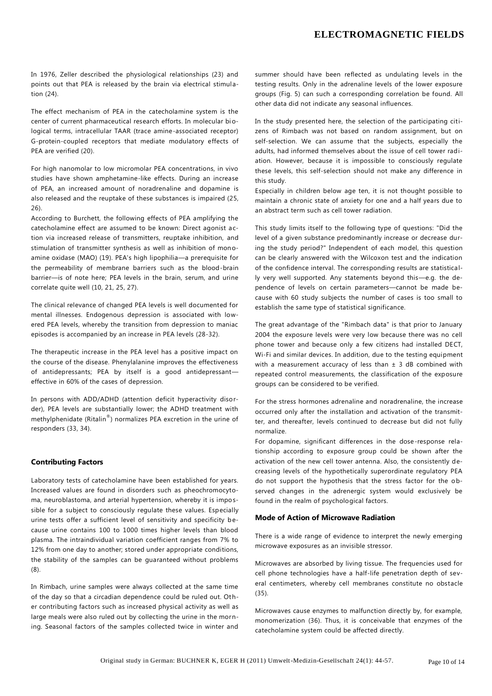In 1976, Zeller described the physiological relationships (23) and points out that PEA is released by the brain via electrical stimulation (24).

The effect mechanism of PEA in the catecholamine system is the center of current pharmaceutical research efforts. In molecular biological terms, intracellular TAAR (trace amine-associated receptor) G-protein-coupled receptors that mediate modulatory effects of PEA are verified (20).

For high nanomolar to low micromolar PEA concentrations, in vivo studies have shown amphetamine-like effects. During an increase of PEA, an increased amount of noradrenaline and dopamine is also released and the reuptake of these substances is impaired (25, 26).

According to Burchett, the following effects of PEA amplifying the catecholamine effect are assumed to be known: Direct agonist action via increased release of transmitters, reuptake inhibition, and stimulation of transmitter synthesis as well as inhibition of monoamine oxidase (MAO) (19). PEA's high lipophilia—a prerequisite for the permeability of membrane barriers such as the blood-brain barrier—is of note here; PEA levels in the brain, serum, and urine correlate quite well (10, 21, 25, 27).

The clinical relevance of changed PEA levels is well documented for mental illnesses. Endogenous depression is associated with lowered PEA levels, whereby the transition from depression to maniac episodes is accompanied by an increase in PEA levels (28-32).

The therapeutic increase in the PEA level has a positive impact on the course of the disease. Phenylalanine improves the effectiveness of antidepressants; PEA by itself is a good antidepressant effective in 60% of the cases of depression.

In persons with ADD/ADHD (attention deficit hyperactivity disorder), PEA levels are substantially lower; the ADHD treatment with methylphenidate (Ritalin® ) normalizes PEA excretion in the urine of responders (33, 34).

#### **Contributing Factors**

Laboratory tests of catecholamine have been established for years. Increased values are found in disorders such as pheochromocytoma, neuroblastoma, and arterial hypertension, whereby it is impossible for a subject to consciously regulate these values. Especially urine tests offer a sufficient level of sensitivity and specificity because urine contains 100 to 1000 times higher levels than blood plasma. The intraindividual variation coefficient ranges from 7% to 12% from one day to another; stored under appropriate conditions, the stability of the samples can be guaranteed without problems (8).

In Rimbach, urine samples were always collected at the same time of the day so that a circadian dependence could be ruled out. Other contributing factors such as increased physical activity as well as large meals were also ruled out by collecting the urine in the morning. Seasonal factors of the samples collected twice in winter and summer should have been reflected as undulating levels in the testing results. Only in the adrenaline levels of the lower exposure groups (Fig. 5) can such a corresponding correlation be found. All other data did not indicate any seasonal influences.

In the study presented here, the selection of the participating citizens of Rimbach was not based on random assignment, but on self-selection. We can assume that the subjects, especially the adults, had informed themselves about the issue of cell tower radiation. However, because it is impossible to consciously regulate these levels, this self-selection should not make any difference in this study.

Especially in children below age ten, it is not thought possible to maintain a chronic state of anxiety for one and a half years due to an abstract term such as cell tower radiation.

This study limits itself to the following type of questions: "Did the level of a given substance predominantly increase or decrease during the study period?" Independent of each model, this question can be clearly answered with the Wilcoxon test and the indication of the confidence interval. The corresponding results are statistically very well supported. Any statements beyond this—e.g. the dependence of levels on certain parameters—cannot be made because with 60 study subjects the number of cases is too small to establish the same type of statistical significance.

The great advantage of the "Rimbach data" is that prior to January 2004 the exposure levels were very low because there was no cell phone tower and because only a few citizens had installed DECT, Wi-Fi and similar devices. In addition, due to the testing equipment with a measurement accuracy of less than  $\pm$  3 dB combined with repeated control measurements, the classification of the exposure groups can be considered to be verified.

For the stress hormones adrenaline and noradrenaline, the increase occurred only after the installation and activation of the transmitter, and thereafter, levels continued to decrease but did not fully normalize.

For dopamine, significant differences in the dose-response relationship according to exposure group could be shown after the activation of the new cell tower antenna. Also, the consistently decreasing levels of the hypothetically superordinate regulatory PEA do not support the hypothesis that the stress factor for the observed changes in the adrenergic system would exclusively be found in the realm of psychological factors.

#### **Mode of Action of Microwave Radiation**

There is a wide range of evidence to interpret the newly emerging microwave exposures as an invisible stressor.

Microwaves are absorbed by living tissue. The frequencies used for cell phone technologies have a half-life penetration depth of several centimeters, whereby cell membranes constitute no obstacle (35).

Microwaves cause enzymes to malfunction directly by, for example, monomerization (36). Thus, it is conceivable that enzymes of the catecholamine system could be affected directly.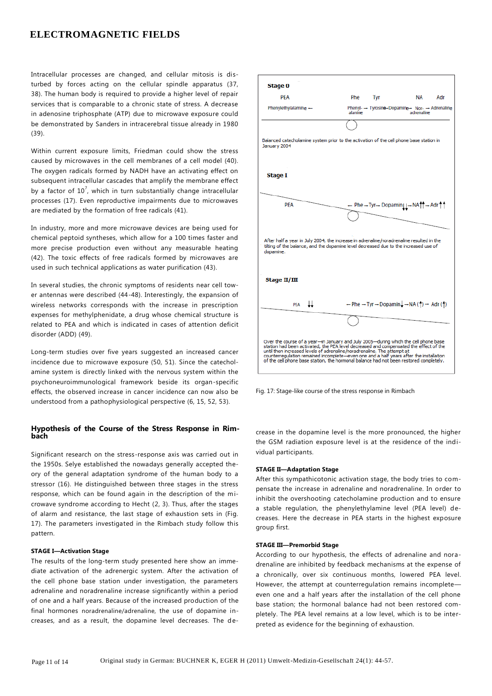Intracellular processes are changed, and cellular mitosis is disturbed by forces acting on the cellular spindle apparatus (37, 38). The human body is required to provide a higher level of repair services that is comparable to a chronic state of stress. A decrease in adenosine triphosphate (ATP) due to microwave exposure could be demonstrated by Sanders in intracerebral tissue already in 1980 (39).

Within current exposure limits, Friedman could show the stress caused by microwaves in the cell membranes of a cell model (40). The oxygen radicals formed by NADH have an activating effect on subsequent intracellular cascades that amplify the membrane effect by a factor of  $10^7$ , which in turn substantially change intracellular processes (17). Even reproductive impairments due to microwaves are mediated by the formation of free radicals (41).

In industry, more and more microwave devices are being used for chemical peptoid syntheses, which allow for a 100 times faster and more precise production even without any measurable heating (42). The toxic effects of free radicals formed by microwaves are used in such technical applications as water purification (43).

In several studies, the chronic symptoms of residents near cell tower antennas were described (44-48). Interestingly, the expansion of wireless networks corresponds with the increase in prescription expenses for methylphenidate, a drug whose chemical structure is related to PEA and which is indicated in cases of attention deficit disorder (ADD) (49).

Long-term studies over five years suggested an increased cancer incidence due to microwave exposure (50, 51). Since the catecholamine system is directly linked with the nervous system within the psychoneuroimmunological framework beside its organ-specific effects, the observed increase in cancer incidence can now also be understood from a pathophysiological perspective (6, 15, 52, 53).

## **Hypothesis of the Course of the Stress Response in Rimbach**

Significant research on the stress-response axis was carried out in the 1950s. Selye established the nowadays generally accepted theory of the general adaptation syndrome of the human body to a stressor (16). He distinguished between three stages in the stress response, which can be found again in the description of the microwave syndrome according to Hecht (2, 3). Thus, after the stages of alarm and resistance, the last stage of exhaustion sets in (Fig. 17). The parameters investigated in the Rimbach study follow this pattern.

#### **STAGE I—Activation Stage**

The results of the long-term study presented here show an immediate activation of the adrenergic system. After the activation of the cell phone base station under investigation, the parameters adrenaline and noradrenaline increase significantly within a period of one and a half years. Because of the increased production of the final hormones noradrenaline/adrenaline, the use of dopamine increases, and as a result, the dopamine level decreases. The de-



Fig. 17: Stage-like course of the stress response in Rimbach

crease in the dopamine level is the more pronounced, the higher the GSM radiation exposure level is at the residence of the individual participants.

#### **STAGE II—Adaptation Stage**

After this sympathicotonic activation stage, the body tries to compensate the increase in adrenaline and noradrenaline. In order to inhibit the overshooting catecholamine production and to ensure a stable regulation, the phenylethylamine level (PEA level) decreases. Here the decrease in PEA starts in the highest exposure group first.

#### **STAGE III—Premorbid Stage**

According to our hypothesis, the effects of adrenaline and noradrenaline are inhibited by feedback mechanisms at the expense of a chronically, over six continuous months, lowered PEA level. However, the attempt at counterregulation remains incomplete even one and a half years after the installation of the cell phone base station; the hormonal balance had not been restored completely. The PEA level remains at a low level, which is to be interpreted as evidence for the beginning of exhaustion.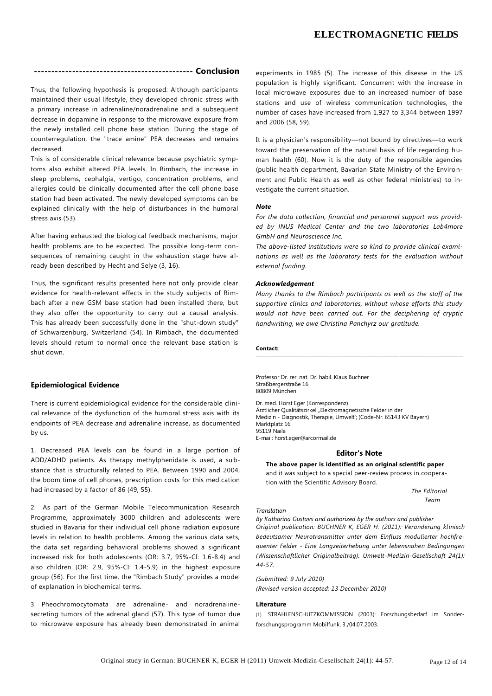# **---------------------------------------------- Conclusion**

Thus, the following hypothesis is proposed: Although participants maintained their usual lifestyle, they developed chronic stress with a primary increase in adrenaline/noradrenaline and a subsequent decrease in dopamine in response to the microwave exposure from the newly installed cell phone base station. During the stage of counterregulation, the "trace amine" PEA decreases and remains decreased.

This is of considerable clinical relevance because psychiatric symptoms also exhibit altered PEA levels. In Rimbach, the increase in sleep problems, cephalgia, vertigo, concentration problems, and allergies could be clinically documented after the cell phone base station had been activated. The newly developed symptoms can be explained clinically with the help of disturbances in the humoral stress axis (53).

After having exhausted the biological feedback mechanisms, major health problems are to be expected. The possible long-term consequences of remaining caught in the exhaustion stage have already been described by Hecht and Selye (3, 16).

Thus, the significant results presented here not only provide clear evidence for health-relevant effects in the study subjects of Rimbach after a new GSM base station had been installed there, but they also offer the opportunity to carry out a causal analysis. This has already been successfully done in the "shut-down study" of Schwarzenburg, Switzerland (54). In Rimbach, the documented levels should return to normal once the relevant base station is shut down.

#### **Epidemiological Evidence**

There is current epidemiological evidence for the considerable clinical relevance of the dysfunction of the humoral stress axis with its endpoints of PEA decrease and adrenaline increase, as documented by us.

1. Decreased PEA levels can be found in a large portion of ADD/ADHD patients. As therapy methylphenidate is used, a substance that is structurally related to PEA. Between 1990 and 2004, the boom time of cell phones, prescription costs for this medication had increased by a factor of 86 (49, 55).

2. As part of the German Mobile Telecommunication Research Programme, approximately 3000 children and adolescents were studied in Bavaria for their individual cell phone radiation exposure levels in relation to health problems. Among the various data sets, the data set regarding behavioral problems showed a significant increased risk for both adolescents (OR: 3.7, 95%-CI: 1.6-8.4) and also children (OR: 2.9, 95%-CI: 1.4-5.9) in the highest exposure group (56). For the first time, the "Rimbach Study" provides a model of explanation in biochemical terms.

3. Pheochromocytomata are adrenaline- and noradrenalinesecreting tumors of the adrenal gland (57). This type of tumor due to microwave exposure has already been demonstrated in animal experiments in 1985 (5). The increase of this disease in the US population is highly significant. Concurrent with the increase in local microwave exposures due to an increased number of base stations and use of wireless communication technologies, the number of cases have increased from 1,927 to 3,344 between 1997 and 2006 (58, 59).

It is a physician's responsibility—not bound by directives—to work toward the preservation of the natural basis of life regarding h uman health (60). Now it is the duty of the responsible agencies (public health department, Bavarian State Ministry of the Environment and Public Health as well as other federal ministries) to investigate the current situation.

#### *Note*

*For the data collection, financial and personnel support was provided by INUS Medical Center and the two laboratories Lab4more GmbH and Neuroscience Inc.*

*The above-listed institutions were so kind to provide clinical examinations as well as the laboratory tests for the evaluation without external funding.*

#### *Acknowledgement*

*Many thanks to the Rimbach participants as well as the staff of the supportive clinics and laboratories, without whose efforts this study would not have been carried out. For the deciphering of cryptic handwriting, we owe Christina Panchyrz our gratitude.*

## **Contact:**

Professor Dr. rer. nat. Dr. habil. Klaus Buchner Straßbergerstraße 16 80809 München

Dr. med. Horst Eger (Korrespondenz) Ärztlicher Qualitätszirkel "Elektromagnetische Felder in der Medizin - Diagnostik, Therapie, Umwelt'; (Code-Nr. 65143 KV Bayern) Marktplatz 16 95119 Naila E-mail[: horst.eger@arcormail.de](mailto:horst.eger@arcormail.de)

#### **Editor's Note**

**The above paper is identified as an original scientific paper** and it was subject to a special peer-review process in cooperation with the Scientific Advisory Board.

> *The Editorial Team*

#### *Translation*

*By Katharina Gustavs and authorized by the authors and publisher Original publication: BUCHNER K, EGER H. (2011): Veränderung klinisch bedeutsamer Neurotransmitter unter dem Einfluss modulierter hochfrequenter Felder - Eine Langzeiterhebung unter lebensnahen Bedingungen (Wissenschaftlicher Originalbeitrag). Umwelt-Medizin-Gesellschaft 24(1): 44-57.* 

*(Submitted: 9 July 2010) (Revised version accepted: 13 December 2010)*

#### **Literature**

(1) STRAHLENSCHUTZKOMMISSION (2003): Forschungsbedarf im Sonderforschungsprogramm Mobilfunk, 3./04.07.2003.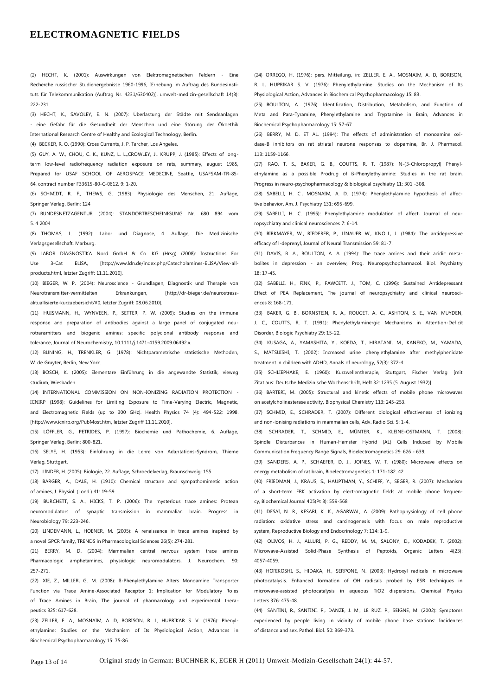(2) HECHT, K. (2001): Auswirkungen von Elektromagnetischen Feldern - Eine Recherche russischer Studienergebnisse 1960-1996, [Erhebung im Auftrag des Bundesinstituts für Telekommunikation (Auftrag Nr. 4231/630402)], umwelt-medizin-gesellschaft 14(3): 222-231.

(3) HECHT, K., SAVOLEY, E. N. (2007): Überlastung der Städte mit Sendeanlagen - eine Gefahr für die Gesundheit der Menschen und eine Störung der Ökoethik International Research Centre of Healthy and Ecological Technology, Berlin.

(4) BECKER, R. O. (1990): Cross Currents, J. P. Tarcher, Los Angeles.

(5) GUY, A. W., CHOU, C. K., KUNZ, L. L.,CROWLEY, J., KRUPP, J. (1985): Effects of longterm low-level radiofrequency radiation exposure on rats, summary, august 1985, Prepared for USAF SCHOOL OF AEROSPACE MEDECINE, Seattle, USAFSAM-TR-85- 64, contract number F33615-80-C-0612, 9: 1-20.

(6) SCHMIDT, R. F., THEWS, G. (1983): Physiologie des Menschen, 21. Auflage, Springer Verlag, Berlin: 124

(7) BUNDESNETZAGENTUR (2004): STANDORTBESCHEINIGUNG Nr. 680 894 vom 5. 4 2004

(8) THOMAS, L. (1992): Labor und Diagnose, 4. Auflage, Die Medizinische Verlagsgesellschaft, Marburg.

(9) LABOR DIAGNOSTIKA Nord GmbH & Co. KG (Hrsg) (2008): Instructions For Use 3-Cat ELISA, [\[http://www.ldn.de/index.php/Catecholamines-ELISA/View-all](http://www.ldn.de/index.php/Catecholamines-ELISA/View-all-)products.html, letzter Zugriff: 11.11.2010].

(10) BIEGER, W. P. (2004): Neuroscience - Grundlagen, Diagnostik und Therapie von Neurotransmitter-vermittelten Erkrankungen, [\[http://dr-bieger.de/neurostress](http://dr-bieger.de/neurostress-)aktuallisierte-kurzuebersicht/#0, letzter Zugriff: 08.06.2010].

(11) HUISMANN, H., WYNVEEN, P., SETTER, P. W. (2009): Studies on the immune response and preparation of antibodies against a large panel of conjugated neurotransmitters and biogenic amines: specific polyclonal antibody response and tolerance, Journal of Neurochemistry, 10.1111/j.1471-4159.2009.06492.x.

(12) BÜNING, H., TRENKLER, G. (1978): Nichtparametrische statistische Methoden, W. de Gruyter, Berlin, New York.

(13) BOSCH, K. (2005): Elementare Einführung in die angewandte Statistik, vieweg studium, Wiesbaden.

(14) INTERNATIONAL COMMISSION ON NON-IONIZING RADIATION PROTECTION - ICNIRP (1998): Guidelines for Limiting Exposure to Time-Varying Electric, Magnetic, and Electromagnetic Fields (up to 300 GHz). Health Physics 74 (4): 494-522; 1998. [\[http://www.icnirp.org/PubMost.htm,](http://www.icnirp.org/PubMost.htm) letzter Zugriff 11.11.2010].

(15) LÖFFLER, G., PETRIDES, P. (1997): Biochemie und Pathochemie, 6. Auflage, Springer Verlag, Berlin: 800-821.

(16) SELYE, H. (1953): Einführung in die Lehre von Adaptations-Syndrom, Thieme Verlag, Stuttgart.

(17) LINDER, H. (2005): Biologie, 22. Auflage, Schroedelverlag, Braunschweig: 155

(18) BARGER, A., DALE, H. (1910): Chemical structure and sympathomimetic action of amines, J. Physiol. (Lond.) 41: 19-59.

(19) BURCHETT, S. A., HICKS, T. P. (2006): The mysterious trace amines: Protean neuromodulators of synaptic transmission in mammalian brain, Progress in Neurobiology 79: 223-246.

(20) LINDEMANN, L., HOENER, M. (2005): A renaissance in trace amines inspired by a novel GPCR family, TRENDS in Pharmacological Sciences 26(5): 274-281.

(21) BERRY, M. D. (2004): Mammalian central nervous system trace amines Pharmacologic amphetamines, physiologic neuromodulators, J. Neurochem. 90: 257-271.

(22) XIE, Z., MILLER, G. M. (2008): ß-Phenylethylamine Alters Monoamine Transporter Function via Trace Amine-Associated Receptor 1: Implication for Modulatory Roles of Trace Amines in Brain, The journal of pharmacology and experimental therapeutics 325: 617-628.

(23) ZELLER, E. A., MOSNAIM, A. D, BORISON, R. L, HUPRIKAR S. V. (1976): Phenylethylamine: Studies on the Mechanism of Its Physiological Action, Advances in Biochemical Psychopharmacology 15: 75-86.

(24) ORREGO, H. (1976): pers. Mitteilung, in: ZELLER, E. A., MOSNAIM, A. D, BORISON, R. L, HUPRIKAR S. V. (1976): Phenylethylamine: Studies on the Mechanism of Its Physiological Action, Advances in Biochemical Psychopharmacology 15: 83.

(25) BOULTON, A. (1976): Identification, Distribution, Metabolism, and Function of Meta and Para-Tyramine, Phenylethylamine and Tryptamine in Brain, Advances in Biochemical Psychopharmacology 15: 57-67.

(26) BERRY, M. D. ET AL. (1994): The effects of administration of monoamine oxidase-B inhibitors on rat striatal neurone responses to dopamine, Br. J. Pharmacol. 113: 1159-1166.

(27) RAO, T. S., BAKER, G. B., COUTTS, R. T. (1987): N-(3-Chloropropyl) Phenylethylamine as a possible Prodrug of ß-Phenylethylamine: Studies in the rat brain, Progress in neuro-psychopharmacology & biological psychiatry 11: 301 -308.

(28) SABELLI, H. C., MOSNAIM, A. D. (1974): Phenylethylamine hypothesis of affective behavior, Am. J. Psychiatry 131: 695-699.

(29) SABELLI, H. C. (1995): Phenylethylamine modulation of affect, Journal of neuropsychiatry and clinical neurosciences 7: 6-14.

(30) BIRKMAYER, W., RIEDERER, P., LINAUER W., KNOLL, J. (1984): The antidepressive efficacy of l-deprenyl, Journal of Neural Transmission 59: 81-7.

(31) DAVIS, B. A., BOULTON, A. A. (1994): The trace amines and their acidic metabolites in depression - an overview, Prog. Neuropsychopharmacol. Biol. Psychiatry 18: 17-45.

(32) SABELLI, H., FINK, P., FAWCETT. J., TOM, C. (1996): Sustained Antidepressant Effect of PEA Replacement, The journal of neuropsychiatry and clinical neurosciences 8: 168-171.

(33) BAKER, G. B., BORNSTEIN, R. A., ROUGET, A. C., ASHTON, S. E., VAN MUYDEN, J. C., COUTTS, R. T. (1991): Phenylethylaminergic Mechanisms in Attention-Deficit Disorder, Biologic Psychiatry 29: 15-22.

(34) KUSAGA, A., YAMASHITA, Y., KOEDA, T., HIRATANI, M., KANEKO, M., YAMADA, S., MATSUISHI, T. (2002): Increased urine phenylethylamine after methylphenidate treatment in children with ADHD, Annals of neurology, 52(3): 372-4.

(35) SCHLIEPHAKE, E. (1960): Kurzwellentherapie, Stuttgart, Fischer Verlag [mit Zitat aus: Deutsche Medizinische Wochenschrift, Heft 32: 1235 (5. August 1932)].

(36) BARTERI, M. (2005): Structural and kinetic effects of mobile phone microwaves on acetylcholinesterase activity, Biophysical Chemistry 113: 245-253.

(37) SCHMID, E., SCHRADER, T. (2007): Different biological effectiveness of ionizing and non-ionising radiations in mammalian cells, Adv. Radio Sci. 5: 1-4.

(38) SCHRADER, T., SCHMID, E., MÜNTER, K., KLEINE-OSTMANN, T. (2008): Spindle Disturbances in Human-Hamster Hybrid (AL) Cells Induced by Mobile Communication Frequency Range Signals, Bioelectromagnetics 29: 626 - 639.

(39) SANDERS, A. P., SCHAEFER, D. J., JOINES, W. T. (1980): Microwave effects on energy metabolism of rat brain, Bioelectromagnetics 1: 171-182. 42

(40) FRIEDMAN, J., KRAUS, S., HAUPTMAN, Y., SCHIFF, Y., SEGER, R. (2007): Mechanism of a short-term ERK activation by electromagnetic fields at mobile phone frequency, Biochemical Journal 405(Pt 3): 559-568.

(41) DESAI, N. R., KESARI, K. K., AGARWAL, A. (2009): Pathophysiology of cell phone radiation: oxidative stress and carcinogenesis with focus on male reproductive system, Reproductive Biology and Endocrinology 7: 114: 1-9.

(42) OLIVOS, H. J., ALLURI, P. G., REDDY, M. M., SALONY, D., KODADEK, T. (2002): Microwave-Assisted Solid-Phase Synthesis of Peptoids, Organic Letters 4(23): 4057-4059.

(43) HORIKOSHI, S., HIDAKA, H., SERPONE, N. (2003): Hydroxyl radicals in microwave photocatalysis. Enhanced formation of OH radicals probed by ESR techniques in microwave-assisted photocatalysis in aqueous TiO2 dispersions, Chemical Physics Letters 376: 475-48.

(44) SANTINI, R., SANTINI, P., DANZE, J. M., LE RUZ, P., SEIGNE, M. (2002): Symptoms experienced by people living in vicinity of mobile phone base stations: Incidences of distance and sex, Pathol. Biol. 50: 369-373.